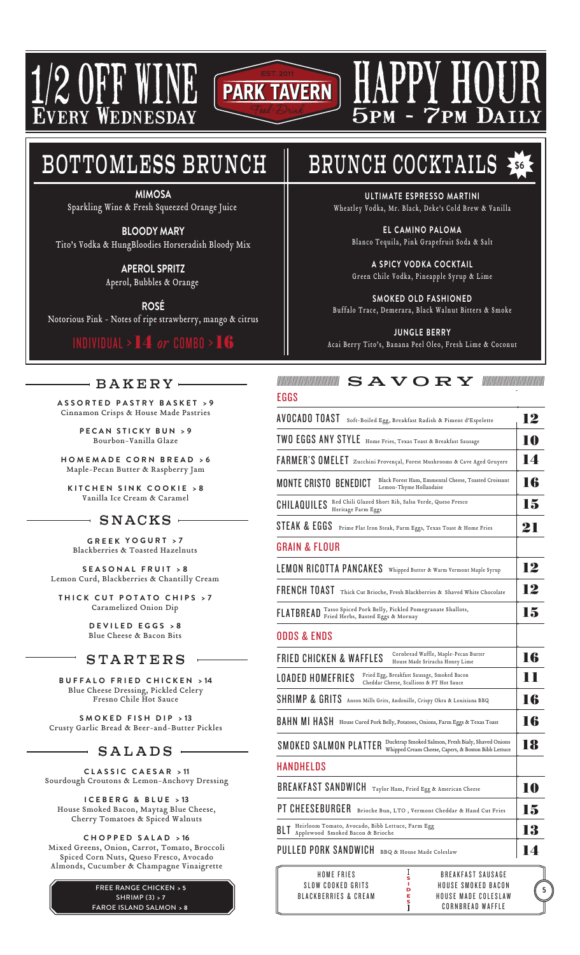

1/2 OFF WINE EDNESDA

# BOTTOMLESS BRUNCH

**MIMOSA** Sparkling Wine & Fresh Squeezed Orange Juice

**BLOODY MARY** Tito's Vodka & HungBloodies Horseradish Bloody Mix

> **APEROL SPRITZ** Aperol, Bubbles & Orange

**ROSÉ** Notorious Pink - Notes of ripe strawberry, mango & citrus

# INDIVIDUAL >14 *or* COMBO >16

# $\mathord{\hspace{1pt}\text{--}\hspace{1pt}}$  BAKERY  $\mathord{\hspace{1pt}\text{--}\hspace{1pt}}$

**ASSORTED PASTRY BASKET > 9** Cinnamon Crisps & House Made Pastries

> **PECAN STICKY BUN > 9** Bourbon-Vanilla Glaze

**HOMEMADE CORN BREAD > 6** Maple-Pecan Butter & Raspberry Jam

**KITCHEN SINK COOKIE > 8** Vanilla Ice Cream & Caramel

# $-$  SNACKS  $-$

**GREEK YOGURT > 7** Blackberries & Toasted Hazelnuts

**SEASONAL FRUIT > 8** Lemon Curd, Blackberries & Chantilly Cream

**THICK CUT POTATO CHIPS > 7** Caramelized Onion Dip

> **DEVILED EGGS > 8** Blue Cheese & Bacon Bits

# **STARTERS**

**BUFFALO FRIED CHICKEN > 14** Blue Cheese Dressing, Pickled Celery Fresno Chile Hot Sauce

**SMOKED FISH DIP > 13** Crusty Garlic Bread & Beer-and-Butter Pickles

# $-$  SALADS  $-$

**CLASSIC CAESAR > 11** Sourdough Croutons & Lemon-Anchovy Dressing

**ICEBERG & BLUE > 13** House Smoked Bacon, Maytag Blue Cheese, Cherry Tomatoes & Spiced Walnuts

**CHOPPED SALAD > 16** Mixed Greens, Onion, Carrot, Tomato, Broccoli Spiced Corn Nuts, Queso Fresco, Avocado Almonds, Cucumber & Champagne Vinaigrette

> FREE RANGE CHICKEN **> 5** SHRIMP (3) **> 7** FAROE ISLAND SALMON **> 8**

# BRUNCH COCKTAILS **\$6**

HAPPY HOUR

5pm - 7pm Daily

**ULTIMATE ESPRESSO MARTINI** Wheatley Vodka, Mr. Black, Deke's Cold Brew & Vanilla

**EL CAMINO PALOMA** Blanco Tequila, Pink Grapefruit Soda & Salt

**A SPICY VODKA COCKTAIL** Green Chile Vodka, Pineapple Syrup & Lime

**SMOKED OLD FASHIONED** Buffalo Trace, Demerara, Black Walnut Bitters & Smoke

**JUNGLE BERRY** Acai Berry Tito's, Banana Peel Oleo, Fresh Lime & Coconut



| -uuv                                                                                                                               |    |
|------------------------------------------------------------------------------------------------------------------------------------|----|
| AVOCADO TOAST<br>Soft-Boiled Egg, Breakfast Radish & Piment d'Espelette                                                            | 12 |
| TWO EGGS ANY STYLE<br>Home Fries, Texas Toast & Breakfast Sausage                                                                  | 10 |
| FARMER'S OMELET Zucchini Provençal, Forest Mushrooms & Cave Aged Gruyere                                                           | 14 |
| Black Forest Ham, Emmental Cheese, Toasted Croissant<br><b>MONTE CRISTO BENEDICT</b><br>Lemon-Thyme Hollandaise                    | 16 |
| Red Chili Glazed Short Rib, Salsa Verde, Queso Fresco<br>CHILAQUILES<br>Heritage Farm Eggs                                         | 15 |
| STEAK & EGGS<br>Prime Flat Iron Steak, Farm Eggs, Texas Toast & Home Fries                                                         | 21 |
| <b>GRAIN &amp; FLOUR</b>                                                                                                           |    |
| LEMON RICOTTA PANCAKES<br>Whipped Butter & Warm Vermont Maple Syrup                                                                | 12 |
| FRENCH TOAST<br>Thick Cut Brioche, Fresh Blackberries & Shaved White Chocolate                                                     | 12 |
| Tasso Spiced Pork Belly, Pickled Pomegranate Shallots,<br>FLATBREAD<br>Fried Herbs, Basted Eggs & Mornay                           | 15 |
| ODDS & ENDS                                                                                                                        |    |
| Cornbread Waffle, Maple-Pecan Butter<br><b>FRIED CHICKEN &amp; WAFFLES</b><br>House Made Sriracha Honey Lime                       | 16 |
| Fried Egg, Breakfast Sausage, Smoked Bacon<br>LOADED HOMEFRIES<br>Cheddar Cheese, Scallions & PT Hot Sauce                         | TТ |
| SHRIMP & GRITS Anson Mills Grits, Andouille, Crispy Okra & Louisiana BBQ                                                           | 16 |
| BAHN MI HASH House Cured Pork Belly, Potatoes, Onions, Farm Eggs & Texas Toast                                                     | 16 |
| Ducktrap Smoked Salmon, Fresh Bialy, Shaved Onions<br>SMOKED SALMON PLATTER<br>Whipped Cream Cheese, Capers, & Boston Bibb Lettuce | 18 |
| <b>HANDHELDS</b>                                                                                                                   |    |
| <b>BREAKFAST SANDWICH</b><br>Taylor Ham, Fried Egg & American Cheese                                                               | 10 |
| PT CHEESEBURGER<br>Brioche Bun, LTO, Vermont Cheddar & Hand Cut Fries                                                              | 15 |
| Heirloom Tomato, Avocado, Bibb Lettuce, Farm Egg<br>BLI<br>Applewood Smoked Bacon & Brioche                                        | 13 |
| PULLED PORK SANDWICH BBQ & House Made Coleslaw                                                                                     | 14 |
|                                                                                                                                    |    |

| HOMF FRIFS           | s | <b>BREAKFAST SAUSAGE</b> |
|----------------------|---|--------------------------|
| SLOW COOKED GRITS    | D | HOUSE SMOKED BACON       |
| BLACKBERRIES & CREAM | Е | HOUSE MADE COLESLAW      |
|                      |   | CORNBREAD WAFFIF         |